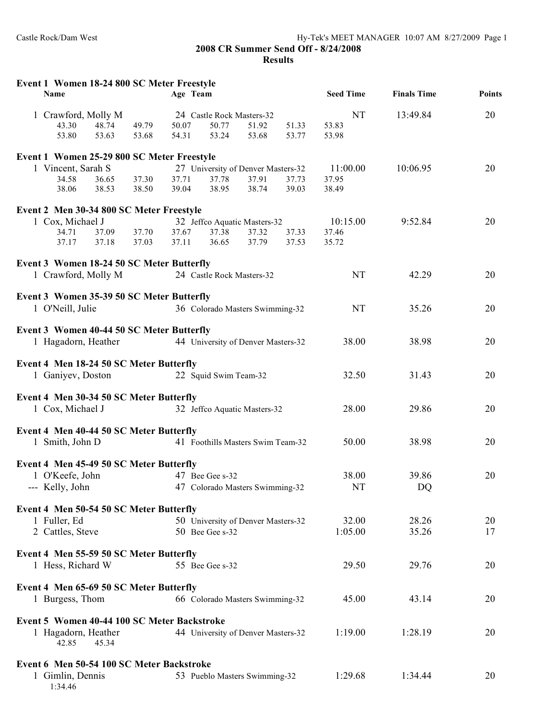**2008 CR Summer Send Off - 8/24/2008 Results**

| NT<br>20<br>1 Crawford, Molly M<br>13:49.84<br>24 Castle Rock Masters-32<br>53.83<br>43.30<br>48.74<br>50.07<br>50.77<br>51.92<br>51.33<br>49.79<br>53.80<br>53.63<br>53.68<br>54.31<br>53.24<br>53.77<br>53.98<br>53.68<br>Event 1 Women 25-29 800 SC Meter Freestyle<br>1 Vincent, Sarah S<br>20<br>27 University of Denver Masters-32<br>11:00.00<br>10:06.95<br>34.58<br>36.65<br>37.30<br>37.71<br>37.78<br>37.91<br>37.73<br>37.95<br>38.95<br>38.74<br>38.06<br>38.53<br>38.50<br>39.04<br>39.03<br>38.49<br>Event 2 Men 30-34 800 SC Meter Freestyle<br>1 Cox, Michael J<br>20<br>32 Jeffco Aquatic Masters-32<br>10:15.00<br>9:52.84<br>34.71<br>37.67<br>37.09<br>37.70<br>37.38<br>37.32<br>37.33<br>37.46<br>37.79<br>37.17<br>37.18<br>37.03<br>37.11<br>36.65<br>37.53<br>35.72<br>Event 3 Women 18-24 50 SC Meter Butterfly<br>1 Crawford, Molly M<br>24 Castle Rock Masters-32<br><b>NT</b><br>42.29<br>20<br>Event 3 Women 35-39 50 SC Meter Butterfly<br>1 O'Neill, Julie<br><b>NT</b><br>35.26<br>20<br>36 Colorado Masters Swimming-32<br>Event 3 Women 40-44 50 SC Meter Butterfly<br>1 Hagadorn, Heather<br>44 University of Denver Masters-32<br>38.00<br>38.98<br>20<br>Event 4 Men 18-24 50 SC Meter Butterfly<br>1 Ganiyev, Doston<br>20<br>22 Squid Swim Team-32<br>32.50<br>31.43<br>Event 4 Men 30-34 50 SC Meter Butterfly<br>1 Cox, Michael J<br>29.86<br>20<br>32 Jeffco Aquatic Masters-32<br>28.00<br>Event 4 Men 40-44 50 SC Meter Butterfly<br>1 Smith, John D<br>50.00<br>38.98<br>41 Foothills Masters Swim Team-32<br>20<br>Event 4 Men 45-49 50 SC Meter Butterfly<br>1 O'Keefe, John<br>38.00<br>39.86<br>20<br>47 Bee Gee s-32<br>--- Kelly, John<br>47 Colorado Masters Swimming-32<br>NT<br>DQ<br>Event 4 Men 50-54 50 SC Meter Butterfly<br>28.26<br>1 Fuller, Ed<br>32.00<br>50 University of Denver Masters-32<br>20<br>35.26<br>2 Cattles, Steve<br>1:05.00<br>17<br>50 Bee Gee s-32<br>Event 4 Men 55-59 50 SC Meter Butterfly<br>1 Hess, Richard W<br>29.50<br>29.76<br>20<br>55 Bee Gee s-32<br>Event 4 Men 65-69 50 SC Meter Butterfly<br>1 Burgess, Thom<br>66 Colorado Masters Swimming-32<br>45.00<br>43.14<br>20<br>Event 5 Women 40-44 100 SC Meter Backstroke<br>1:28.19<br>1 Hagadorn, Heather<br>44 University of Denver Masters-32<br>1:19.00<br>20<br>42.85<br>45.34<br>Event 6 Men 50-54 100 SC Meter Backstroke<br>1 Gimlin, Dennis<br>53 Pueblo Masters Swimming-32<br>1:29.68<br>1:34.44<br>20<br>1:34.46 | Event 1 Women 18-24 800 SC Meter Freestyle<br>Name |  | Age Team |  | <b>Seed Time</b> | <b>Finals Time</b> | <b>Points</b> |
|-----------------------------------------------------------------------------------------------------------------------------------------------------------------------------------------------------------------------------------------------------------------------------------------------------------------------------------------------------------------------------------------------------------------------------------------------------------------------------------------------------------------------------------------------------------------------------------------------------------------------------------------------------------------------------------------------------------------------------------------------------------------------------------------------------------------------------------------------------------------------------------------------------------------------------------------------------------------------------------------------------------------------------------------------------------------------------------------------------------------------------------------------------------------------------------------------------------------------------------------------------------------------------------------------------------------------------------------------------------------------------------------------------------------------------------------------------------------------------------------------------------------------------------------------------------------------------------------------------------------------------------------------------------------------------------------------------------------------------------------------------------------------------------------------------------------------------------------------------------------------------------------------------------------------------------------------------------------------------------------------------------------------------------------------------------------------------------------------------------------------------------------------------------------------------------------------------------------------------------------------------------------------------------------------------------------------------------------------------------------------------------------------------------------------------------------------------------------------------|----------------------------------------------------|--|----------|--|------------------|--------------------|---------------|
|                                                                                                                                                                                                                                                                                                                                                                                                                                                                                                                                                                                                                                                                                                                                                                                                                                                                                                                                                                                                                                                                                                                                                                                                                                                                                                                                                                                                                                                                                                                                                                                                                                                                                                                                                                                                                                                                                                                                                                                                                                                                                                                                                                                                                                                                                                                                                                                                                                                                             |                                                    |  |          |  |                  |                    |               |
|                                                                                                                                                                                                                                                                                                                                                                                                                                                                                                                                                                                                                                                                                                                                                                                                                                                                                                                                                                                                                                                                                                                                                                                                                                                                                                                                                                                                                                                                                                                                                                                                                                                                                                                                                                                                                                                                                                                                                                                                                                                                                                                                                                                                                                                                                                                                                                                                                                                                             |                                                    |  |          |  |                  |                    |               |
|                                                                                                                                                                                                                                                                                                                                                                                                                                                                                                                                                                                                                                                                                                                                                                                                                                                                                                                                                                                                                                                                                                                                                                                                                                                                                                                                                                                                                                                                                                                                                                                                                                                                                                                                                                                                                                                                                                                                                                                                                                                                                                                                                                                                                                                                                                                                                                                                                                                                             |                                                    |  |          |  |                  |                    |               |
|                                                                                                                                                                                                                                                                                                                                                                                                                                                                                                                                                                                                                                                                                                                                                                                                                                                                                                                                                                                                                                                                                                                                                                                                                                                                                                                                                                                                                                                                                                                                                                                                                                                                                                                                                                                                                                                                                                                                                                                                                                                                                                                                                                                                                                                                                                                                                                                                                                                                             |                                                    |  |          |  |                  |                    |               |
|                                                                                                                                                                                                                                                                                                                                                                                                                                                                                                                                                                                                                                                                                                                                                                                                                                                                                                                                                                                                                                                                                                                                                                                                                                                                                                                                                                                                                                                                                                                                                                                                                                                                                                                                                                                                                                                                                                                                                                                                                                                                                                                                                                                                                                                                                                                                                                                                                                                                             |                                                    |  |          |  |                  |                    |               |
|                                                                                                                                                                                                                                                                                                                                                                                                                                                                                                                                                                                                                                                                                                                                                                                                                                                                                                                                                                                                                                                                                                                                                                                                                                                                                                                                                                                                                                                                                                                                                                                                                                                                                                                                                                                                                                                                                                                                                                                                                                                                                                                                                                                                                                                                                                                                                                                                                                                                             |                                                    |  |          |  |                  |                    |               |
|                                                                                                                                                                                                                                                                                                                                                                                                                                                                                                                                                                                                                                                                                                                                                                                                                                                                                                                                                                                                                                                                                                                                                                                                                                                                                                                                                                                                                                                                                                                                                                                                                                                                                                                                                                                                                                                                                                                                                                                                                                                                                                                                                                                                                                                                                                                                                                                                                                                                             |                                                    |  |          |  |                  |                    |               |
|                                                                                                                                                                                                                                                                                                                                                                                                                                                                                                                                                                                                                                                                                                                                                                                                                                                                                                                                                                                                                                                                                                                                                                                                                                                                                                                                                                                                                                                                                                                                                                                                                                                                                                                                                                                                                                                                                                                                                                                                                                                                                                                                                                                                                                                                                                                                                                                                                                                                             |                                                    |  |          |  |                  |                    |               |
|                                                                                                                                                                                                                                                                                                                                                                                                                                                                                                                                                                                                                                                                                                                                                                                                                                                                                                                                                                                                                                                                                                                                                                                                                                                                                                                                                                                                                                                                                                                                                                                                                                                                                                                                                                                                                                                                                                                                                                                                                                                                                                                                                                                                                                                                                                                                                                                                                                                                             |                                                    |  |          |  |                  |                    |               |
|                                                                                                                                                                                                                                                                                                                                                                                                                                                                                                                                                                                                                                                                                                                                                                                                                                                                                                                                                                                                                                                                                                                                                                                                                                                                                                                                                                                                                                                                                                                                                                                                                                                                                                                                                                                                                                                                                                                                                                                                                                                                                                                                                                                                                                                                                                                                                                                                                                                                             |                                                    |  |          |  |                  |                    |               |
|                                                                                                                                                                                                                                                                                                                                                                                                                                                                                                                                                                                                                                                                                                                                                                                                                                                                                                                                                                                                                                                                                                                                                                                                                                                                                                                                                                                                                                                                                                                                                                                                                                                                                                                                                                                                                                                                                                                                                                                                                                                                                                                                                                                                                                                                                                                                                                                                                                                                             |                                                    |  |          |  |                  |                    |               |
|                                                                                                                                                                                                                                                                                                                                                                                                                                                                                                                                                                                                                                                                                                                                                                                                                                                                                                                                                                                                                                                                                                                                                                                                                                                                                                                                                                                                                                                                                                                                                                                                                                                                                                                                                                                                                                                                                                                                                                                                                                                                                                                                                                                                                                                                                                                                                                                                                                                                             |                                                    |  |          |  |                  |                    |               |
|                                                                                                                                                                                                                                                                                                                                                                                                                                                                                                                                                                                                                                                                                                                                                                                                                                                                                                                                                                                                                                                                                                                                                                                                                                                                                                                                                                                                                                                                                                                                                                                                                                                                                                                                                                                                                                                                                                                                                                                                                                                                                                                                                                                                                                                                                                                                                                                                                                                                             |                                                    |  |          |  |                  |                    |               |
|                                                                                                                                                                                                                                                                                                                                                                                                                                                                                                                                                                                                                                                                                                                                                                                                                                                                                                                                                                                                                                                                                                                                                                                                                                                                                                                                                                                                                                                                                                                                                                                                                                                                                                                                                                                                                                                                                                                                                                                                                                                                                                                                                                                                                                                                                                                                                                                                                                                                             |                                                    |  |          |  |                  |                    |               |
|                                                                                                                                                                                                                                                                                                                                                                                                                                                                                                                                                                                                                                                                                                                                                                                                                                                                                                                                                                                                                                                                                                                                                                                                                                                                                                                                                                                                                                                                                                                                                                                                                                                                                                                                                                                                                                                                                                                                                                                                                                                                                                                                                                                                                                                                                                                                                                                                                                                                             |                                                    |  |          |  |                  |                    |               |
|                                                                                                                                                                                                                                                                                                                                                                                                                                                                                                                                                                                                                                                                                                                                                                                                                                                                                                                                                                                                                                                                                                                                                                                                                                                                                                                                                                                                                                                                                                                                                                                                                                                                                                                                                                                                                                                                                                                                                                                                                                                                                                                                                                                                                                                                                                                                                                                                                                                                             |                                                    |  |          |  |                  |                    |               |
|                                                                                                                                                                                                                                                                                                                                                                                                                                                                                                                                                                                                                                                                                                                                                                                                                                                                                                                                                                                                                                                                                                                                                                                                                                                                                                                                                                                                                                                                                                                                                                                                                                                                                                                                                                                                                                                                                                                                                                                                                                                                                                                                                                                                                                                                                                                                                                                                                                                                             |                                                    |  |          |  |                  |                    |               |
|                                                                                                                                                                                                                                                                                                                                                                                                                                                                                                                                                                                                                                                                                                                                                                                                                                                                                                                                                                                                                                                                                                                                                                                                                                                                                                                                                                                                                                                                                                                                                                                                                                                                                                                                                                                                                                                                                                                                                                                                                                                                                                                                                                                                                                                                                                                                                                                                                                                                             |                                                    |  |          |  |                  |                    |               |
|                                                                                                                                                                                                                                                                                                                                                                                                                                                                                                                                                                                                                                                                                                                                                                                                                                                                                                                                                                                                                                                                                                                                                                                                                                                                                                                                                                                                                                                                                                                                                                                                                                                                                                                                                                                                                                                                                                                                                                                                                                                                                                                                                                                                                                                                                                                                                                                                                                                                             |                                                    |  |          |  |                  |                    |               |
|                                                                                                                                                                                                                                                                                                                                                                                                                                                                                                                                                                                                                                                                                                                                                                                                                                                                                                                                                                                                                                                                                                                                                                                                                                                                                                                                                                                                                                                                                                                                                                                                                                                                                                                                                                                                                                                                                                                                                                                                                                                                                                                                                                                                                                                                                                                                                                                                                                                                             |                                                    |  |          |  |                  |                    |               |
|                                                                                                                                                                                                                                                                                                                                                                                                                                                                                                                                                                                                                                                                                                                                                                                                                                                                                                                                                                                                                                                                                                                                                                                                                                                                                                                                                                                                                                                                                                                                                                                                                                                                                                                                                                                                                                                                                                                                                                                                                                                                                                                                                                                                                                                                                                                                                                                                                                                                             |                                                    |  |          |  |                  |                    |               |
|                                                                                                                                                                                                                                                                                                                                                                                                                                                                                                                                                                                                                                                                                                                                                                                                                                                                                                                                                                                                                                                                                                                                                                                                                                                                                                                                                                                                                                                                                                                                                                                                                                                                                                                                                                                                                                                                                                                                                                                                                                                                                                                                                                                                                                                                                                                                                                                                                                                                             |                                                    |  |          |  |                  |                    |               |
|                                                                                                                                                                                                                                                                                                                                                                                                                                                                                                                                                                                                                                                                                                                                                                                                                                                                                                                                                                                                                                                                                                                                                                                                                                                                                                                                                                                                                                                                                                                                                                                                                                                                                                                                                                                                                                                                                                                                                                                                                                                                                                                                                                                                                                                                                                                                                                                                                                                                             |                                                    |  |          |  |                  |                    |               |
|                                                                                                                                                                                                                                                                                                                                                                                                                                                                                                                                                                                                                                                                                                                                                                                                                                                                                                                                                                                                                                                                                                                                                                                                                                                                                                                                                                                                                                                                                                                                                                                                                                                                                                                                                                                                                                                                                                                                                                                                                                                                                                                                                                                                                                                                                                                                                                                                                                                                             |                                                    |  |          |  |                  |                    |               |
|                                                                                                                                                                                                                                                                                                                                                                                                                                                                                                                                                                                                                                                                                                                                                                                                                                                                                                                                                                                                                                                                                                                                                                                                                                                                                                                                                                                                                                                                                                                                                                                                                                                                                                                                                                                                                                                                                                                                                                                                                                                                                                                                                                                                                                                                                                                                                                                                                                                                             |                                                    |  |          |  |                  |                    |               |
|                                                                                                                                                                                                                                                                                                                                                                                                                                                                                                                                                                                                                                                                                                                                                                                                                                                                                                                                                                                                                                                                                                                                                                                                                                                                                                                                                                                                                                                                                                                                                                                                                                                                                                                                                                                                                                                                                                                                                                                                                                                                                                                                                                                                                                                                                                                                                                                                                                                                             |                                                    |  |          |  |                  |                    |               |
|                                                                                                                                                                                                                                                                                                                                                                                                                                                                                                                                                                                                                                                                                                                                                                                                                                                                                                                                                                                                                                                                                                                                                                                                                                                                                                                                                                                                                                                                                                                                                                                                                                                                                                                                                                                                                                                                                                                                                                                                                                                                                                                                                                                                                                                                                                                                                                                                                                                                             |                                                    |  |          |  |                  |                    |               |
|                                                                                                                                                                                                                                                                                                                                                                                                                                                                                                                                                                                                                                                                                                                                                                                                                                                                                                                                                                                                                                                                                                                                                                                                                                                                                                                                                                                                                                                                                                                                                                                                                                                                                                                                                                                                                                                                                                                                                                                                                                                                                                                                                                                                                                                                                                                                                                                                                                                                             |                                                    |  |          |  |                  |                    |               |
|                                                                                                                                                                                                                                                                                                                                                                                                                                                                                                                                                                                                                                                                                                                                                                                                                                                                                                                                                                                                                                                                                                                                                                                                                                                                                                                                                                                                                                                                                                                                                                                                                                                                                                                                                                                                                                                                                                                                                                                                                                                                                                                                                                                                                                                                                                                                                                                                                                                                             |                                                    |  |          |  |                  |                    |               |
|                                                                                                                                                                                                                                                                                                                                                                                                                                                                                                                                                                                                                                                                                                                                                                                                                                                                                                                                                                                                                                                                                                                                                                                                                                                                                                                                                                                                                                                                                                                                                                                                                                                                                                                                                                                                                                                                                                                                                                                                                                                                                                                                                                                                                                                                                                                                                                                                                                                                             |                                                    |  |          |  |                  |                    |               |
|                                                                                                                                                                                                                                                                                                                                                                                                                                                                                                                                                                                                                                                                                                                                                                                                                                                                                                                                                                                                                                                                                                                                                                                                                                                                                                                                                                                                                                                                                                                                                                                                                                                                                                                                                                                                                                                                                                                                                                                                                                                                                                                                                                                                                                                                                                                                                                                                                                                                             |                                                    |  |          |  |                  |                    |               |
|                                                                                                                                                                                                                                                                                                                                                                                                                                                                                                                                                                                                                                                                                                                                                                                                                                                                                                                                                                                                                                                                                                                                                                                                                                                                                                                                                                                                                                                                                                                                                                                                                                                                                                                                                                                                                                                                                                                                                                                                                                                                                                                                                                                                                                                                                                                                                                                                                                                                             |                                                    |  |          |  |                  |                    |               |
|                                                                                                                                                                                                                                                                                                                                                                                                                                                                                                                                                                                                                                                                                                                                                                                                                                                                                                                                                                                                                                                                                                                                                                                                                                                                                                                                                                                                                                                                                                                                                                                                                                                                                                                                                                                                                                                                                                                                                                                                                                                                                                                                                                                                                                                                                                                                                                                                                                                                             |                                                    |  |          |  |                  |                    |               |
|                                                                                                                                                                                                                                                                                                                                                                                                                                                                                                                                                                                                                                                                                                                                                                                                                                                                                                                                                                                                                                                                                                                                                                                                                                                                                                                                                                                                                                                                                                                                                                                                                                                                                                                                                                                                                                                                                                                                                                                                                                                                                                                                                                                                                                                                                                                                                                                                                                                                             |                                                    |  |          |  |                  |                    |               |
|                                                                                                                                                                                                                                                                                                                                                                                                                                                                                                                                                                                                                                                                                                                                                                                                                                                                                                                                                                                                                                                                                                                                                                                                                                                                                                                                                                                                                                                                                                                                                                                                                                                                                                                                                                                                                                                                                                                                                                                                                                                                                                                                                                                                                                                                                                                                                                                                                                                                             |                                                    |  |          |  |                  |                    |               |
|                                                                                                                                                                                                                                                                                                                                                                                                                                                                                                                                                                                                                                                                                                                                                                                                                                                                                                                                                                                                                                                                                                                                                                                                                                                                                                                                                                                                                                                                                                                                                                                                                                                                                                                                                                                                                                                                                                                                                                                                                                                                                                                                                                                                                                                                                                                                                                                                                                                                             |                                                    |  |          |  |                  |                    |               |
|                                                                                                                                                                                                                                                                                                                                                                                                                                                                                                                                                                                                                                                                                                                                                                                                                                                                                                                                                                                                                                                                                                                                                                                                                                                                                                                                                                                                                                                                                                                                                                                                                                                                                                                                                                                                                                                                                                                                                                                                                                                                                                                                                                                                                                                                                                                                                                                                                                                                             |                                                    |  |          |  |                  |                    |               |
|                                                                                                                                                                                                                                                                                                                                                                                                                                                                                                                                                                                                                                                                                                                                                                                                                                                                                                                                                                                                                                                                                                                                                                                                                                                                                                                                                                                                                                                                                                                                                                                                                                                                                                                                                                                                                                                                                                                                                                                                                                                                                                                                                                                                                                                                                                                                                                                                                                                                             |                                                    |  |          |  |                  |                    |               |
|                                                                                                                                                                                                                                                                                                                                                                                                                                                                                                                                                                                                                                                                                                                                                                                                                                                                                                                                                                                                                                                                                                                                                                                                                                                                                                                                                                                                                                                                                                                                                                                                                                                                                                                                                                                                                                                                                                                                                                                                                                                                                                                                                                                                                                                                                                                                                                                                                                                                             |                                                    |  |          |  |                  |                    |               |
|                                                                                                                                                                                                                                                                                                                                                                                                                                                                                                                                                                                                                                                                                                                                                                                                                                                                                                                                                                                                                                                                                                                                                                                                                                                                                                                                                                                                                                                                                                                                                                                                                                                                                                                                                                                                                                                                                                                                                                                                                                                                                                                                                                                                                                                                                                                                                                                                                                                                             |                                                    |  |          |  |                  |                    |               |
|                                                                                                                                                                                                                                                                                                                                                                                                                                                                                                                                                                                                                                                                                                                                                                                                                                                                                                                                                                                                                                                                                                                                                                                                                                                                                                                                                                                                                                                                                                                                                                                                                                                                                                                                                                                                                                                                                                                                                                                                                                                                                                                                                                                                                                                                                                                                                                                                                                                                             |                                                    |  |          |  |                  |                    |               |
|                                                                                                                                                                                                                                                                                                                                                                                                                                                                                                                                                                                                                                                                                                                                                                                                                                                                                                                                                                                                                                                                                                                                                                                                                                                                                                                                                                                                                                                                                                                                                                                                                                                                                                                                                                                                                                                                                                                                                                                                                                                                                                                                                                                                                                                                                                                                                                                                                                                                             |                                                    |  |          |  |                  |                    |               |
|                                                                                                                                                                                                                                                                                                                                                                                                                                                                                                                                                                                                                                                                                                                                                                                                                                                                                                                                                                                                                                                                                                                                                                                                                                                                                                                                                                                                                                                                                                                                                                                                                                                                                                                                                                                                                                                                                                                                                                                                                                                                                                                                                                                                                                                                                                                                                                                                                                                                             |                                                    |  |          |  |                  |                    |               |
|                                                                                                                                                                                                                                                                                                                                                                                                                                                                                                                                                                                                                                                                                                                                                                                                                                                                                                                                                                                                                                                                                                                                                                                                                                                                                                                                                                                                                                                                                                                                                                                                                                                                                                                                                                                                                                                                                                                                                                                                                                                                                                                                                                                                                                                                                                                                                                                                                                                                             |                                                    |  |          |  |                  |                    |               |
|                                                                                                                                                                                                                                                                                                                                                                                                                                                                                                                                                                                                                                                                                                                                                                                                                                                                                                                                                                                                                                                                                                                                                                                                                                                                                                                                                                                                                                                                                                                                                                                                                                                                                                                                                                                                                                                                                                                                                                                                                                                                                                                                                                                                                                                                                                                                                                                                                                                                             |                                                    |  |          |  |                  |                    |               |
|                                                                                                                                                                                                                                                                                                                                                                                                                                                                                                                                                                                                                                                                                                                                                                                                                                                                                                                                                                                                                                                                                                                                                                                                                                                                                                                                                                                                                                                                                                                                                                                                                                                                                                                                                                                                                                                                                                                                                                                                                                                                                                                                                                                                                                                                                                                                                                                                                                                                             |                                                    |  |          |  |                  |                    |               |
|                                                                                                                                                                                                                                                                                                                                                                                                                                                                                                                                                                                                                                                                                                                                                                                                                                                                                                                                                                                                                                                                                                                                                                                                                                                                                                                                                                                                                                                                                                                                                                                                                                                                                                                                                                                                                                                                                                                                                                                                                                                                                                                                                                                                                                                                                                                                                                                                                                                                             |                                                    |  |          |  |                  |                    |               |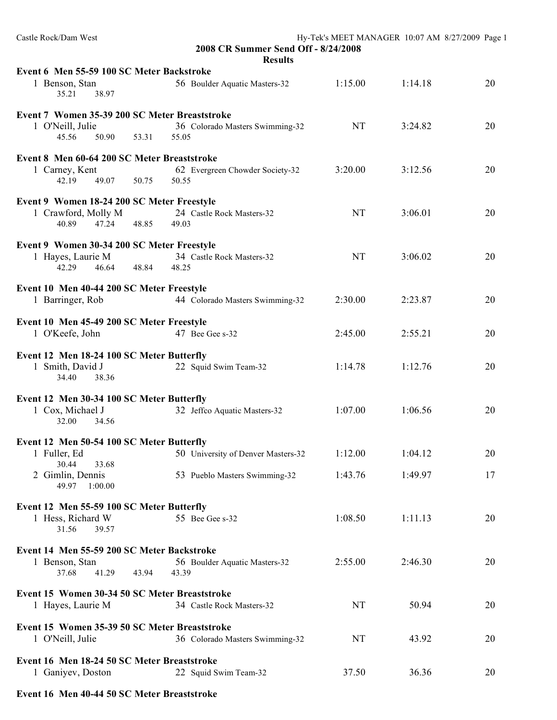| Castle Rock/Dam West                                                                            | 2008 CR Summer Send Off - 8/24/2008             | Hy-Tek's MEET MANAGER 10:07 AM 8/27/2009 Page 1 |                    |          |
|-------------------------------------------------------------------------------------------------|-------------------------------------------------|-------------------------------------------------|--------------------|----------|
| Event 6 Men 55-59 100 SC Meter Backstroke<br>1 Benson, Stan<br>35.21<br>38.97                   | <b>Results</b><br>56 Boulder Aquatic Masters-32 | 1:15.00                                         | 1:14.18            | 20       |
| Event 7 Women 35-39 200 SC Meter Breaststroke<br>1 O'Neill, Julie<br>45.56<br>50.90<br>53.31    | 36 Colorado Masters Swimming-32<br>55.05        | NT                                              | 3:24.82            | 20       |
| Event 8 Men 60-64 200 SC Meter Breaststroke<br>1 Carney, Kent<br>49.07 50.75<br>42.19           | 62 Evergreen Chowder Society-32<br>50.55        | 3:20.00                                         | 3:12.56            | 20       |
| Event 9 Women 18-24 200 SC Meter Freestyle<br>1 Crawford, Molly M<br>40.89<br>47.24<br>48.85    | 24 Castle Rock Masters-32<br>49.03              | <b>NT</b>                                       | 3:06.01            | 20       |
| Event 9 Women 30-34 200 SC Meter Freestyle<br>1 Hayes, Laurie M<br>42.29<br>46.64<br>48.84      | 34 Castle Rock Masters-32<br>48.25              | <b>NT</b>                                       | 3:06.02            | 20       |
| Event 10 Men 40-44 200 SC Meter Freestyle<br>1 Barringer, Rob                                   | 44 Colorado Masters Swimming-32                 | 2:30.00                                         | 2:23.87            | 20       |
| Event 10 Men 45-49 200 SC Meter Freestyle<br>1 O'Keefe, John                                    | 47 Bee Gee s-32                                 | 2:45.00                                         | 2:55.21            | 20       |
| Event 12 Men 18-24 100 SC Meter Butterfly<br>1 Smith, David J<br>34.40<br>38.36                 | 22 Squid Swim Team-32                           | 1:14.78                                         | 1:12.76            | 20       |
| Event 12 Men 30-34 100 SC Meter Butterfly<br>1 Cox, Michael J<br>32.00<br>34.56                 | 32 Jeffco Aquatic Masters-32                    | 1:07.00                                         | 1:06.56            | 20       |
| Event 12 Men 50-54 100 SC Meter Butterfly<br>1 Fuller, Ed<br>30.44<br>33.68<br>2 Gimlin, Dennis | 50 University of Denver Masters-32              | 1:12.00<br>1:43.76                              | 1:04.12<br>1:49.97 | 20<br>17 |
| 49.97<br>1:00.00                                                                                | 53 Pueblo Masters Swimming-32                   |                                                 |                    |          |
| Event 12 Men 55-59 100 SC Meter Butterfly<br>1 Hess, Richard W<br>31.56<br>39.57                | 55 Bee Gee s-32                                 | 1:08.50                                         | 1:11.13            | 20       |
| Event 14 Men 55-59 200 SC Meter Backstroke<br>1 Benson, Stan<br>41.29<br>43.94<br>37.68         | 56 Boulder Aquatic Masters-32<br>43.39          | 2:55.00                                         | 2:46.30            | 20       |
| Event 15 Women 30-34 50 SC Meter Breaststroke<br>1 Hayes, Laurie M                              | 34 Castle Rock Masters-32                       | <b>NT</b>                                       | 50.94              | 20       |
| Event 15 Women 35-39 50 SC Meter Breaststroke<br>1 O'Neill, Julie                               | 36 Colorado Masters Swimming-32                 | NT                                              | 43.92              | 20       |
| Event 16 Men 18-24 50 SC Meter Breaststroke<br>1 Ganiyev, Doston                                | 22 Squid Swim Team-32                           | 37.50                                           | 36.36              | 20       |

## **Event 16 Men 40-44 50 SC Meter Breaststroke**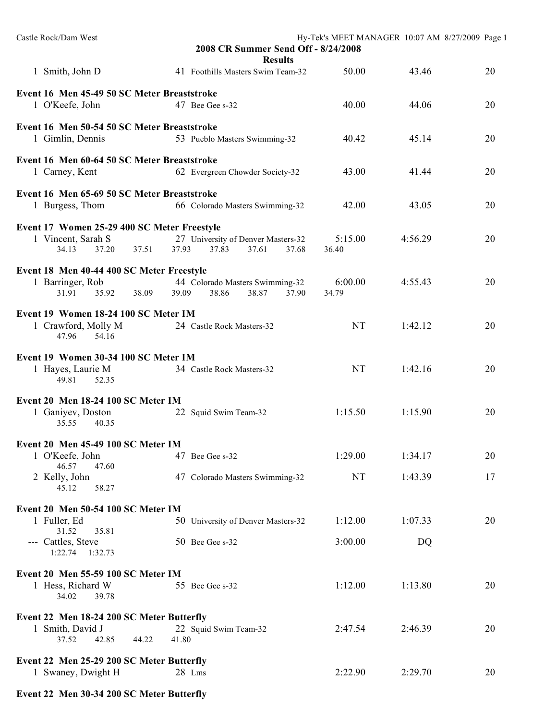| Castle Rock/Dam West                                                                                              | 2008 CR Summer Send Off - 8/24/2008<br><b>Results</b>                  |                    | Hy-Tek's MEET MANAGER 10:07 AM 8/27/2009 Page 1 |          |
|-------------------------------------------------------------------------------------------------------------------|------------------------------------------------------------------------|--------------------|-------------------------------------------------|----------|
| 1 Smith, John D                                                                                                   | 41 Foothills Masters Swim Team-32                                      | 50.00              | 43.46                                           | 20       |
| Event 16 Men 45-49 50 SC Meter Breaststroke<br>1 O'Keefe, John                                                    | 47 Bee Gee s-32                                                        | 40.00              | 44.06                                           | 20       |
| Event 16 Men 50-54 50 SC Meter Breaststroke<br>1 Gimlin, Dennis                                                   | 53 Pueblo Masters Swimming-32                                          | 40.42              | 45.14                                           | 20       |
| Event 16 Men 60-64 50 SC Meter Breaststroke<br>1 Carney, Kent                                                     | 62 Evergreen Chowder Society-32                                        | 43.00              | 41.44                                           | 20       |
| Event 16 Men 65-69 50 SC Meter Breaststroke<br>1 Burgess, Thom                                                    | 66 Colorado Masters Swimming-32                                        | 42.00              | 43.05                                           | 20       |
| Event 17 Women 25-29 400 SC Meter Freestyle<br>1 Vincent, Sarah S<br>34.13<br>37.20<br>37.51                      | 27 University of Denver Masters-32<br>37.93<br>37.83<br>37.61<br>37.68 | 5:15.00<br>36.40   | 4:56.29                                         | 20       |
| Event 18 Men 40-44 400 SC Meter Freestyle<br>1 Barringer, Rob<br>31.91<br>35.92<br>38.09                          | 44 Colorado Masters Swimming-32<br>38.87<br>39.09<br>38.86<br>37.90    | 6:00.00<br>34.79   | 4:55.43                                         | 20       |
| Event 19 Women 18-24 100 SC Meter IM<br>1 Crawford, Molly M<br>47.96<br>54.16                                     | 24 Castle Rock Masters-32                                              | <b>NT</b>          | 1:42.12                                         | 20       |
| Event 19 Women 30-34 100 SC Meter IM<br>1 Hayes, Laurie M<br>49.81<br>52.35                                       | 34 Castle Rock Masters-32                                              | <b>NT</b>          | 1:42.16                                         | 20       |
| Event 20 Men 18-24 100 SC Meter IM<br>1 Ganiyev, Doston<br>35.55<br>40.35                                         | 22 Squid Swim Team-32                                                  | 1:15.50            | 1:15.90                                         | 20       |
| Event 20 Men 45-49 100 SC Meter IM<br>1 O'Keefe, John<br>46.57<br>47.60<br>2 Kelly, John<br>45.12<br>58.27        | 47 Bee Gee s-32<br>47 Colorado Masters Swimming-32                     | 1:29.00<br>NT      | 1:34.17<br>1:43.39                              | 20<br>17 |
| Event 20 Men 50-54 100 SC Meter IM<br>1 Fuller, Ed<br>31.52<br>35.81<br>--- Cattles, Steve<br>$1:22.74$ $1:32.73$ | 50 University of Denver Masters-32<br>50 Bee Gee s-32                  | 1:12.00<br>3:00.00 | 1:07.33<br>DQ                                   | 20       |
| Event 20 Men 55-59 100 SC Meter IM<br>1 Hess, Richard W<br>34.02<br>39.78                                         | 55 Bee Gee s-32                                                        | 1:12.00            | 1:13.80                                         | 20       |
| Event 22 Men 18-24 200 SC Meter Butterfly<br>1 Smith, David J<br>42.85<br>44.22<br>37.52                          | 22 Squid Swim Team-32<br>41.80                                         | 2:47.54            | 2:46.39                                         | 20       |
| Event 22 Men 25-29 200 SC Meter Butterfly<br>1 Swaney, Dwight H                                                   | 28 Lms                                                                 | 2:22.90            | 2:29.70                                         | 20       |

## **Event 22 Men 30-34 200 SC Meter Butterfly**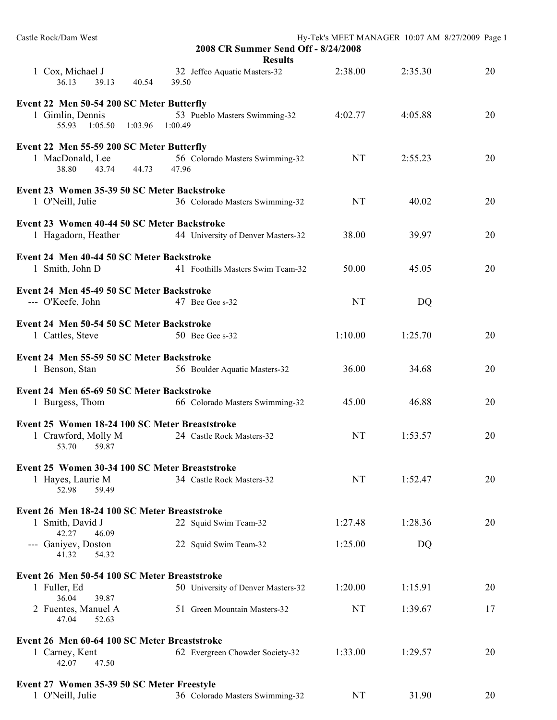| Castle Rock/Dam West                                                                     | 2008 CR Summer Send Off - 8/24/2008<br><b>Results</b> |           | Hy-Tek's MEET MANAGER 10:07 AM 8/27/2009 Page 1 |    |
|------------------------------------------------------------------------------------------|-------------------------------------------------------|-----------|-------------------------------------------------|----|
| 1 Cox, Michael J<br>36.13<br>39.13<br>40.54                                              | 32 Jeffco Aquatic Masters-32<br>39.50                 | 2:38.00   | 2:35.30                                         | 20 |
| Event 22 Men 50-54 200 SC Meter Butterfly<br>1 Gimlin, Dennis<br>55.93 1:05.50 1:03.96   | 53 Pueblo Masters Swimming-32<br>1:00.49              | 4:02.77   | 4:05.88                                         | 20 |
| Event 22 Men 55-59 200 SC Meter Butterfly<br>1 MacDonald, Lee<br>38.80<br>43.74<br>44.73 | 56 Colorado Masters Swimming-32<br>47.96              | <b>NT</b> | 2:55.23                                         | 20 |
| Event 23 Women 35-39 50 SC Meter Backstroke<br>1 O'Neill, Julie                          | 36 Colorado Masters Swimming-32                       | <b>NT</b> | 40.02                                           | 20 |
| Event 23 Women 40-44 50 SC Meter Backstroke<br>1 Hagadorn, Heather                       | 44 University of Denver Masters-32                    | 38.00     | 39.97                                           | 20 |
| Event 24 Men 40-44 50 SC Meter Backstroke<br>1 Smith, John D                             | 41 Foothills Masters Swim Team-32                     | 50.00     | 45.05                                           | 20 |
| Event 24 Men 45-49 50 SC Meter Backstroke<br>--- O'Keefe, John                           | 47 Bee Gee s-32                                       | <b>NT</b> | DQ                                              |    |
| Event 24 Men 50-54 50 SC Meter Backstroke<br>1 Cattles, Steve                            | 50 Bee Gee s-32                                       | 1:10.00   | 1:25.70                                         | 20 |
| Event 24 Men 55-59 50 SC Meter Backstroke<br>1 Benson, Stan                              | 56 Boulder Aquatic Masters-32                         | 36.00     | 34.68                                           | 20 |
| Event 24 Men 65-69 50 SC Meter Backstroke<br>1 Burgess, Thom                             | 66 Colorado Masters Swimming-32                       | 45.00     | 46.88                                           | 20 |
| Event 25 Women 18-24 100 SC Meter Breaststroke<br>1 Crawford, Molly M<br>59.87<br>53.70  | 24 Castle Rock Masters-32                             | NT        | 1:53.57                                         | 20 |
| Event 25 Women 30-34 100 SC Meter Breaststroke<br>1 Hayes, Laurie M<br>52.98<br>59.49    | 34 Castle Rock Masters-32                             | NT        | 1:52.47                                         | 20 |
| Event 26 Men 18-24 100 SC Meter Breaststroke<br>1 Smith, David J<br>42.27<br>46.09       | 22 Squid Swim Team-32                                 | 1:27.48   | 1:28.36                                         | 20 |
| --- Ganiyev, Doston<br>41.32<br>54.32                                                    | 22 Squid Swim Team-32                                 | 1:25.00   | DQ                                              |    |
| Event 26 Men 50-54 100 SC Meter Breaststroke<br>1 Fuller, Ed<br>36.04<br>39.87           | 50 University of Denver Masters-32                    | 1:20.00   | 1:15.91                                         | 20 |
| 2 Fuentes, Manuel A<br>47.04<br>52.63                                                    | 51 Green Mountain Masters-32                          | <b>NT</b> | 1:39.67                                         | 17 |
| Event 26 Men 60-64 100 SC Meter Breaststroke<br>1 Carney, Kent<br>42.07<br>47.50         | 62 Evergreen Chowder Society-32                       | 1:33.00   | 1:29.57                                         | 20 |
| Event 27 Women 35-39 50 SC Meter Freestyle<br>1 O'Neill, Julie                           | 36 Colorado Masters Swimming-32                       | NT        | 31.90                                           | 20 |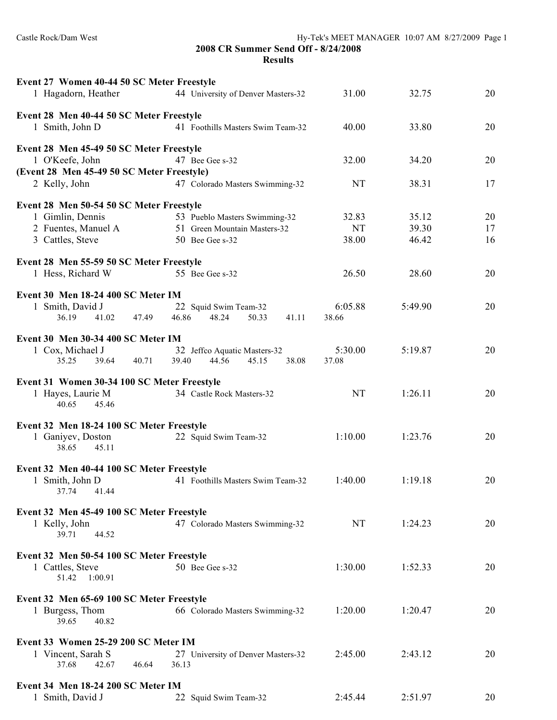**2008 CR Summer Send Off - 8/24/2008 Results**

|                                    |                                                                                                                                                                                                                                                                                                                                                                                                                                                                                                                                                                                                                                                                                                                                                                                                                                                                                                                                                                                                                                                                                                                                             |                                                                                                              | 20                                                                                                 |
|------------------------------------|---------------------------------------------------------------------------------------------------------------------------------------------------------------------------------------------------------------------------------------------------------------------------------------------------------------------------------------------------------------------------------------------------------------------------------------------------------------------------------------------------------------------------------------------------------------------------------------------------------------------------------------------------------------------------------------------------------------------------------------------------------------------------------------------------------------------------------------------------------------------------------------------------------------------------------------------------------------------------------------------------------------------------------------------------------------------------------------------------------------------------------------------|--------------------------------------------------------------------------------------------------------------|----------------------------------------------------------------------------------------------------|
|                                    |                                                                                                                                                                                                                                                                                                                                                                                                                                                                                                                                                                                                                                                                                                                                                                                                                                                                                                                                                                                                                                                                                                                                             |                                                                                                              |                                                                                                    |
|                                    |                                                                                                                                                                                                                                                                                                                                                                                                                                                                                                                                                                                                                                                                                                                                                                                                                                                                                                                                                                                                                                                                                                                                             |                                                                                                              |                                                                                                    |
|                                    |                                                                                                                                                                                                                                                                                                                                                                                                                                                                                                                                                                                                                                                                                                                                                                                                                                                                                                                                                                                                                                                                                                                                             |                                                                                                              | 20                                                                                                 |
|                                    |                                                                                                                                                                                                                                                                                                                                                                                                                                                                                                                                                                                                                                                                                                                                                                                                                                                                                                                                                                                                                                                                                                                                             |                                                                                                              |                                                                                                    |
| 47 Bee Gee s-32                    | 32.00                                                                                                                                                                                                                                                                                                                                                                                                                                                                                                                                                                                                                                                                                                                                                                                                                                                                                                                                                                                                                                                                                                                                       | 34.20                                                                                                        | 20                                                                                                 |
|                                    |                                                                                                                                                                                                                                                                                                                                                                                                                                                                                                                                                                                                                                                                                                                                                                                                                                                                                                                                                                                                                                                                                                                                             |                                                                                                              |                                                                                                    |
|                                    |                                                                                                                                                                                                                                                                                                                                                                                                                                                                                                                                                                                                                                                                                                                                                                                                                                                                                                                                                                                                                                                                                                                                             |                                                                                                              | 17                                                                                                 |
|                                    |                                                                                                                                                                                                                                                                                                                                                                                                                                                                                                                                                                                                                                                                                                                                                                                                                                                                                                                                                                                                                                                                                                                                             |                                                                                                              |                                                                                                    |
| 53 Pueblo Masters Swimming-32      | 32.83                                                                                                                                                                                                                                                                                                                                                                                                                                                                                                                                                                                                                                                                                                                                                                                                                                                                                                                                                                                                                                                                                                                                       | 35.12                                                                                                        | 20                                                                                                 |
| 51 Green Mountain Masters-32       | <b>NT</b>                                                                                                                                                                                                                                                                                                                                                                                                                                                                                                                                                                                                                                                                                                                                                                                                                                                                                                                                                                                                                                                                                                                                   | 39.30                                                                                                        | 17                                                                                                 |
|                                    |                                                                                                                                                                                                                                                                                                                                                                                                                                                                                                                                                                                                                                                                                                                                                                                                                                                                                                                                                                                                                                                                                                                                             |                                                                                                              | 16                                                                                                 |
|                                    |                                                                                                                                                                                                                                                                                                                                                                                                                                                                                                                                                                                                                                                                                                                                                                                                                                                                                                                                                                                                                                                                                                                                             |                                                                                                              |                                                                                                    |
| 55 Bee Gee s-32                    | 26.50                                                                                                                                                                                                                                                                                                                                                                                                                                                                                                                                                                                                                                                                                                                                                                                                                                                                                                                                                                                                                                                                                                                                       | 28.60                                                                                                        | 20                                                                                                 |
|                                    |                                                                                                                                                                                                                                                                                                                                                                                                                                                                                                                                                                                                                                                                                                                                                                                                                                                                                                                                                                                                                                                                                                                                             |                                                                                                              |                                                                                                    |
|                                    |                                                                                                                                                                                                                                                                                                                                                                                                                                                                                                                                                                                                                                                                                                                                                                                                                                                                                                                                                                                                                                                                                                                                             |                                                                                                              |                                                                                                    |
|                                    |                                                                                                                                                                                                                                                                                                                                                                                                                                                                                                                                                                                                                                                                                                                                                                                                                                                                                                                                                                                                                                                                                                                                             |                                                                                                              | 20                                                                                                 |
|                                    |                                                                                                                                                                                                                                                                                                                                                                                                                                                                                                                                                                                                                                                                                                                                                                                                                                                                                                                                                                                                                                                                                                                                             |                                                                                                              |                                                                                                    |
|                                    |                                                                                                                                                                                                                                                                                                                                                                                                                                                                                                                                                                                                                                                                                                                                                                                                                                                                                                                                                                                                                                                                                                                                             |                                                                                                              |                                                                                                    |
|                                    |                                                                                                                                                                                                                                                                                                                                                                                                                                                                                                                                                                                                                                                                                                                                                                                                                                                                                                                                                                                                                                                                                                                                             |                                                                                                              | 20                                                                                                 |
|                                    |                                                                                                                                                                                                                                                                                                                                                                                                                                                                                                                                                                                                                                                                                                                                                                                                                                                                                                                                                                                                                                                                                                                                             |                                                                                                              |                                                                                                    |
|                                    |                                                                                                                                                                                                                                                                                                                                                                                                                                                                                                                                                                                                                                                                                                                                                                                                                                                                                                                                                                                                                                                                                                                                             |                                                                                                              |                                                                                                    |
| 34 Castle Rock Masters-32          | <b>NT</b>                                                                                                                                                                                                                                                                                                                                                                                                                                                                                                                                                                                                                                                                                                                                                                                                                                                                                                                                                                                                                                                                                                                                   | 1:26.11                                                                                                      | 20                                                                                                 |
|                                    |                                                                                                                                                                                                                                                                                                                                                                                                                                                                                                                                                                                                                                                                                                                                                                                                                                                                                                                                                                                                                                                                                                                                             |                                                                                                              |                                                                                                    |
|                                    |                                                                                                                                                                                                                                                                                                                                                                                                                                                                                                                                                                                                                                                                                                                                                                                                                                                                                                                                                                                                                                                                                                                                             |                                                                                                              |                                                                                                    |
|                                    | 1:10.00                                                                                                                                                                                                                                                                                                                                                                                                                                                                                                                                                                                                                                                                                                                                                                                                                                                                                                                                                                                                                                                                                                                                     | 1:23.76                                                                                                      | 20                                                                                                 |
|                                    |                                                                                                                                                                                                                                                                                                                                                                                                                                                                                                                                                                                                                                                                                                                                                                                                                                                                                                                                                                                                                                                                                                                                             |                                                                                                              |                                                                                                    |
|                                    |                                                                                                                                                                                                                                                                                                                                                                                                                                                                                                                                                                                                                                                                                                                                                                                                                                                                                                                                                                                                                                                                                                                                             |                                                                                                              |                                                                                                    |
|                                    |                                                                                                                                                                                                                                                                                                                                                                                                                                                                                                                                                                                                                                                                                                                                                                                                                                                                                                                                                                                                                                                                                                                                             |                                                                                                              | 20                                                                                                 |
|                                    |                                                                                                                                                                                                                                                                                                                                                                                                                                                                                                                                                                                                                                                                                                                                                                                                                                                                                                                                                                                                                                                                                                                                             |                                                                                                              |                                                                                                    |
|                                    |                                                                                                                                                                                                                                                                                                                                                                                                                                                                                                                                                                                                                                                                                                                                                                                                                                                                                                                                                                                                                                                                                                                                             |                                                                                                              |                                                                                                    |
|                                    |                                                                                                                                                                                                                                                                                                                                                                                                                                                                                                                                                                                                                                                                                                                                                                                                                                                                                                                                                                                                                                                                                                                                             |                                                                                                              | 20                                                                                                 |
|                                    |                                                                                                                                                                                                                                                                                                                                                                                                                                                                                                                                                                                                                                                                                                                                                                                                                                                                                                                                                                                                                                                                                                                                             |                                                                                                              |                                                                                                    |
|                                    |                                                                                                                                                                                                                                                                                                                                                                                                                                                                                                                                                                                                                                                                                                                                                                                                                                                                                                                                                                                                                                                                                                                                             |                                                                                                              |                                                                                                    |
|                                    |                                                                                                                                                                                                                                                                                                                                                                                                                                                                                                                                                                                                                                                                                                                                                                                                                                                                                                                                                                                                                                                                                                                                             |                                                                                                              |                                                                                                    |
|                                    |                                                                                                                                                                                                                                                                                                                                                                                                                                                                                                                                                                                                                                                                                                                                                                                                                                                                                                                                                                                                                                                                                                                                             |                                                                                                              | 20                                                                                                 |
|                                    |                                                                                                                                                                                                                                                                                                                                                                                                                                                                                                                                                                                                                                                                                                                                                                                                                                                                                                                                                                                                                                                                                                                                             |                                                                                                              |                                                                                                    |
|                                    |                                                                                                                                                                                                                                                                                                                                                                                                                                                                                                                                                                                                                                                                                                                                                                                                                                                                                                                                                                                                                                                                                                                                             |                                                                                                              |                                                                                                    |
|                                    |                                                                                                                                                                                                                                                                                                                                                                                                                                                                                                                                                                                                                                                                                                                                                                                                                                                                                                                                                                                                                                                                                                                                             |                                                                                                              | 20                                                                                                 |
|                                    |                                                                                                                                                                                                                                                                                                                                                                                                                                                                                                                                                                                                                                                                                                                                                                                                                                                                                                                                                                                                                                                                                                                                             |                                                                                                              |                                                                                                    |
|                                    |                                                                                                                                                                                                                                                                                                                                                                                                                                                                                                                                                                                                                                                                                                                                                                                                                                                                                                                                                                                                                                                                                                                                             |                                                                                                              |                                                                                                    |
| 27 University of Denver Masters-32 | 2:45.00                                                                                                                                                                                                                                                                                                                                                                                                                                                                                                                                                                                                                                                                                                                                                                                                                                                                                                                                                                                                                                                                                                                                     | 2:43.12                                                                                                      | 20                                                                                                 |
| 36.13                              |                                                                                                                                                                                                                                                                                                                                                                                                                                                                                                                                                                                                                                                                                                                                                                                                                                                                                                                                                                                                                                                                                                                                             |                                                                                                              |                                                                                                    |
|                                    |                                                                                                                                                                                                                                                                                                                                                                                                                                                                                                                                                                                                                                                                                                                                                                                                                                                                                                                                                                                                                                                                                                                                             |                                                                                                              |                                                                                                    |
| 22 Squid Swim Team-32              | 2:45.44                                                                                                                                                                                                                                                                                                                                                                                                                                                                                                                                                                                                                                                                                                                                                                                                                                                                                                                                                                                                                                                                                                                                     | 2:51.97                                                                                                      | 20                                                                                                 |
|                                    | Event 27 Women 40-44 50 SC Meter Freestyle<br>44 University of Denver Masters-32<br>Event 28 Men 40-44 50 SC Meter Freestyle<br>41 Foothills Masters Swim Team-32<br>Event 28 Men 45-49 50 SC Meter Freestyle<br>(Event 28 Men 45-49 50 SC Meter Freestyle)<br>47 Colorado Masters Swimming-32<br>Event 28 Men 50-54 50 SC Meter Freestyle<br>50 Bee Gee s-32<br>Event 28 Men 55-59 50 SC Meter Freestyle<br>Event 30 Men 18-24 400 SC Meter IM<br>22 Squid Swim Team-32<br>46.86<br>48.24<br>50.33<br>41.11<br>Event 30 Men 30-34 400 SC Meter IM<br>32 Jeffco Aquatic Masters-32<br>39.40<br>44.56<br>45.15<br>38.08<br>Event 31 Women 30-34 100 SC Meter Freestyle<br>Event 32 Men 18-24 100 SC Meter Freestyle<br>22 Squid Swim Team-32<br>Event 32 Men 40-44 100 SC Meter Freestyle<br>41 Foothills Masters Swim Team-32<br>Event 32 Men 45-49 100 SC Meter Freestyle<br>47 Colorado Masters Swimming-32<br>Event 32 Men 50-54 100 SC Meter Freestyle<br>50 Bee Gee s-32<br>Event 32 Men 65-69 100 SC Meter Freestyle<br>66 Colorado Masters Swimming-32<br>Event 33 Women 25-29 200 SC Meter IM<br>Event 34 Men 18-24 200 SC Meter IM | 31.00<br>40.00<br>NT<br>38.00<br>6:05.88<br>38.66<br>5:30.00<br>37.08<br>1:40.00<br>NT<br>1:30.00<br>1:20.00 | 32.75<br>33.80<br>38.31<br>46.42<br>5:49.90<br>5:19.87<br>1:19.18<br>1:24.23<br>1:52.33<br>1:20.47 |